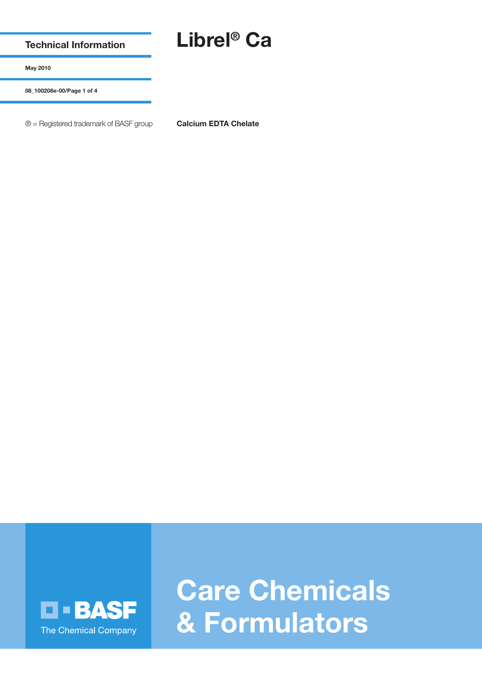**Technical Information**

## **Librel® Ca**

**May 2010**

**08\_100208e-00/Page 1 of 4**

® = Registered trademark of BASF group **Calcium EDTA Chelate**



**Care Chemicals & Formulators**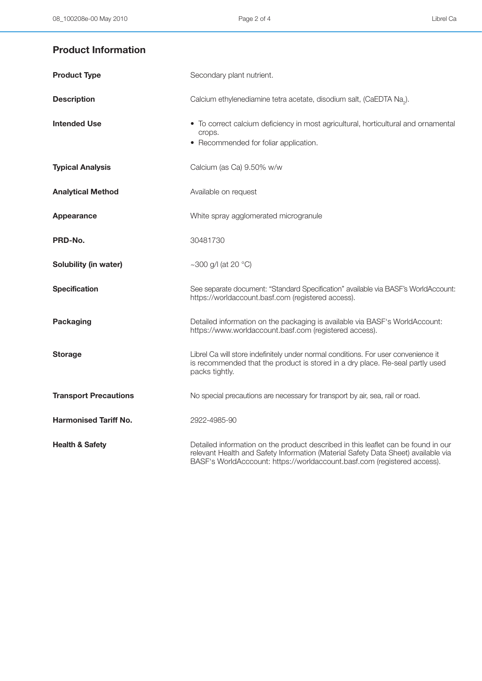## **Product Information**

| <b>Product Type</b>          | Secondary plant nutrient.                                                                                                                                                                                                                          |
|------------------------------|----------------------------------------------------------------------------------------------------------------------------------------------------------------------------------------------------------------------------------------------------|
| <b>Description</b>           | Calcium ethylenediamine tetra acetate, disodium salt, (CaEDTA Na <sub>2</sub> ).                                                                                                                                                                   |
| <b>Intended Use</b>          | • To correct calcium deficiency in most agricultural, horticultural and ornamental<br>crops.<br>• Recommended for foliar application.                                                                                                              |
| <b>Typical Analysis</b>      | Calcium (as Ca) 9.50% w/w                                                                                                                                                                                                                          |
| <b>Analytical Method</b>     | Available on request                                                                                                                                                                                                                               |
| Appearance                   | White spray agglomerated microgranule                                                                                                                                                                                                              |
| PRD-No.                      | 30481730                                                                                                                                                                                                                                           |
| Solubility (in water)        | ~300 g/l (at 20 $^{\circ}$ C)                                                                                                                                                                                                                      |
| <b>Specification</b>         | See separate document: "Standard Specification" available via BASF's WorldAccount:<br>https://worldaccount.basf.com (registered access).                                                                                                           |
| Packaging                    | Detailed information on the packaging is available via BASF's WorldAccount:<br>https://www.worldaccount.basf.com (registered access).                                                                                                              |
| <b>Storage</b>               | Librel Ca will store indefinitely under normal conditions. For user convenience it<br>is recommended that the product is stored in a dry place. Re-seal partly used<br>packs tightly.                                                              |
| <b>Transport Precautions</b> | No special precautions are necessary for transport by air, sea, rail or road.                                                                                                                                                                      |
| <b>Harmonised Tariff No.</b> | 2922-4985-90                                                                                                                                                                                                                                       |
| <b>Health &amp; Safety</b>   | Detailed information on the product described in this leaflet can be found in our<br>relevant Health and Safety Information (Material Safety Data Sheet) available via<br>BASF's WorldAcccount: https://worldaccount.basf.com (registered access). |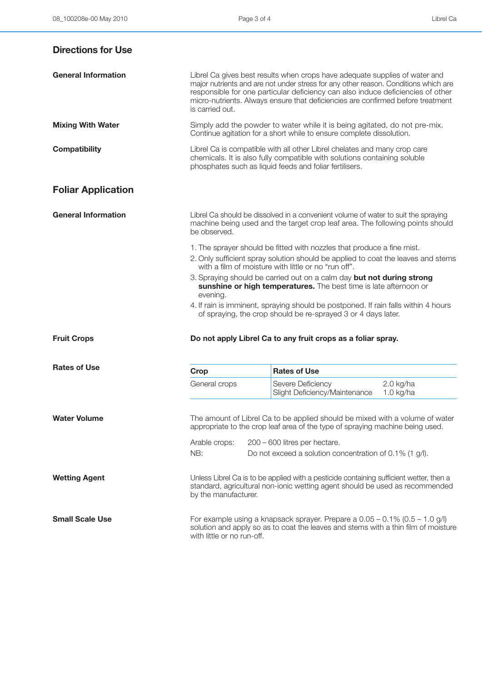| <b>Directions for Use</b>  |                                                                                                                                                                                                    |                                                                                                                                                                                                                                                                                                                                          |                            |
|----------------------------|----------------------------------------------------------------------------------------------------------------------------------------------------------------------------------------------------|------------------------------------------------------------------------------------------------------------------------------------------------------------------------------------------------------------------------------------------------------------------------------------------------------------------------------------------|----------------------------|
| <b>General Information</b> | is carried out.                                                                                                                                                                                    | Librel Ca gives best results when crops have adequate supplies of water and<br>major nutrients and are not under stress for any other reason. Conditions which are<br>responsible for one particular deficiency can also induce deficiencies of other<br>micro-nutrients. Always ensure that deficiencies are confirmed before treatment |                            |
| <b>Mixing With Water</b>   |                                                                                                                                                                                                    | Simply add the powder to water while it is being agitated, do not pre-mix.<br>Continue agitation for a short while to ensure complete dissolution.                                                                                                                                                                                       |                            |
| <b>Compatibility</b>       |                                                                                                                                                                                                    | Librel Ca is compatible with all other Librel chelates and many crop care<br>chemicals. It is also fully compatible with solutions containing soluble<br>phosphates such as liquid feeds and foliar fertilisers.                                                                                                                         |                            |
| <b>Foliar Application</b>  |                                                                                                                                                                                                    |                                                                                                                                                                                                                                                                                                                                          |                            |
| <b>General Information</b> | Librel Ca should be dissolved in a convenient volume of water to suit the spraying<br>machine being used and the target crop leaf area. The following points should<br>be observed.                |                                                                                                                                                                                                                                                                                                                                          |                            |
|                            |                                                                                                                                                                                                    | 1. The sprayer should be fitted with nozzles that produce a fine mist.                                                                                                                                                                                                                                                                   |                            |
|                            |                                                                                                                                                                                                    | 2. Only sufficient spray solution should be applied to coat the leaves and stems<br>with a film of moisture with little or no "run off".                                                                                                                                                                                                 |                            |
|                            |                                                                                                                                                                                                    | 3. Spraying should be carried out on a calm day but not during strong                                                                                                                                                                                                                                                                    |                            |
|                            | evening.                                                                                                                                                                                           | sunshine or high temperatures. The best time is late afternoon or                                                                                                                                                                                                                                                                        |                            |
|                            |                                                                                                                                                                                                    | 4. If rain is imminent, spraying should be postponed. If rain falls within 4 hours<br>of spraying, the crop should be re-sprayed 3 or 4 days later.                                                                                                                                                                                      |                            |
| <b>Fruit Crops</b>         |                                                                                                                                                                                                    | Do not apply Librel Ca to any fruit crops as a foliar spray.                                                                                                                                                                                                                                                                             |                            |
| <b>Rates of Use</b>        | Crop                                                                                                                                                                                               | <b>Rates of Use</b>                                                                                                                                                                                                                                                                                                                      |                            |
|                            | General crops                                                                                                                                                                                      | Severe Deficiency<br>Slight Deficiency/Maintenance                                                                                                                                                                                                                                                                                       | $2.0$ kg/ha<br>$1.0$ kg/ha |
| <b>Water Volume</b>        | The amount of Librel Ca to be applied should be mixed with a volume of water<br>appropriate to the crop leaf area of the type of spraying machine being used.                                      |                                                                                                                                                                                                                                                                                                                                          |                            |
|                            | Arable crops:                                                                                                                                                                                      | 200 - 600 litres per hectare.                                                                                                                                                                                                                                                                                                            |                            |
|                            | NB:                                                                                                                                                                                                | Do not exceed a solution concentration of 0.1% (1 g/l).                                                                                                                                                                                                                                                                                  |                            |
| <b>Wetting Agent</b>       | Unless Librel Ca is to be applied with a pesticide containing sufficient wetter, then a<br>standard, agricultural non-ionic wetting agent should be used as recommended<br>by the manufacturer.    |                                                                                                                                                                                                                                                                                                                                          |                            |
| <b>Small Scale Use</b>     | For example using a knapsack sprayer. Prepare a $0.05 - 0.1\%$ (0.5 - 1.0 g/l)<br>solution and apply so as to coat the leaves and stems with a thin film of moisture<br>with little or no run-off. |                                                                                                                                                                                                                                                                                                                                          |                            |